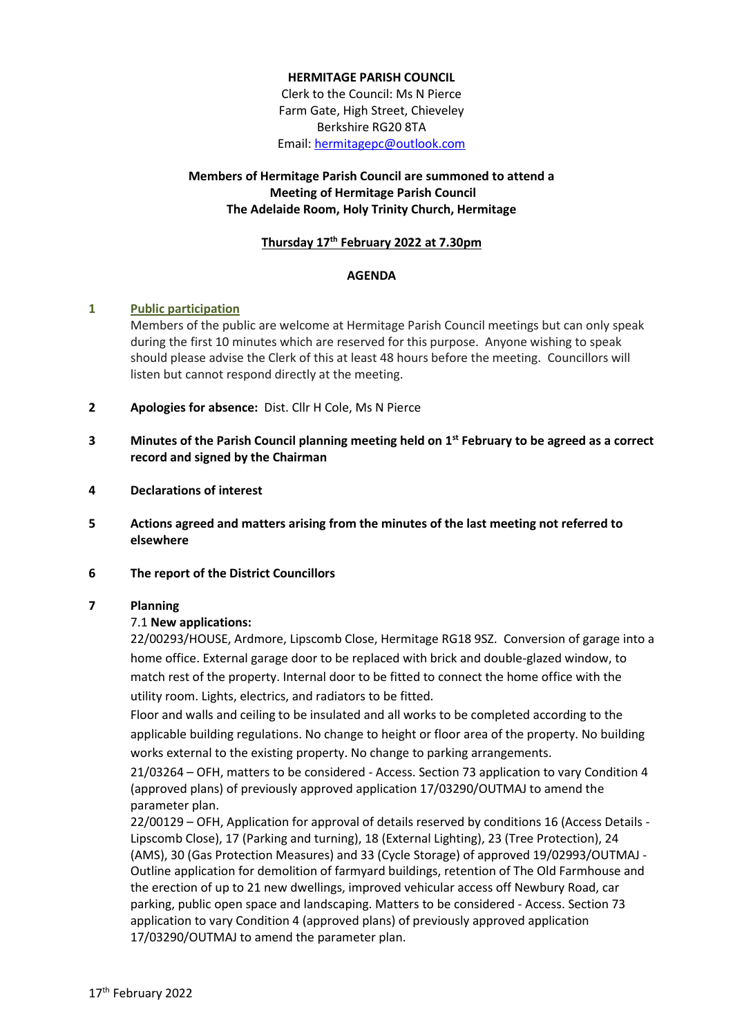# **HERMITAGE PARISH COUNCIL**

Clerk to the Council: Ms N Pierce Farm Gate, High Street, Chieveley Berkshire RG20 8TA Email[: hermitagepc@outlook.com](mailto:hermitagepc@outlook.com)

# **Members of Hermitage Parish Council are summoned to attend a Meeting of Hermitage Parish Council The Adelaide Room, Holy Trinity Church, Hermitage**

# **Thursday 17th February 2022 at 7.30pm**

### **AGENDA**

### **1 Public participation**

Members of the public are welcome at Hermitage Parish Council meetings but can only speak during the first 10 minutes which are reserved for this purpose. Anyone wishing to speak should please advise the Clerk of this at least 48 hours before the meeting. Councillors will listen but cannot respond directly at the meeting.

- **2 Apologies for absence:** Dist. Cllr H Cole, Ms N Pierce
- **3 Minutes of the Parish Council planning meeting held on 1 st February to be agreed as a correct record and signed by the Chairman**
- **4 Declarations of interest**
- **5 Actions agreed and matters arising from the minutes of the last meeting not referred to elsewhere**
- **6 The report of the District Councillors**

### **7 Planning**

### 7.1 **New applications:**

22/00293/HOUSE, Ardmore, Lipscomb Close, Hermitage RG18 9SZ. Conversion of garage into a home office. External garage door to be replaced with brick and double-glazed window, to match rest of the property. Internal door to be fitted to connect the home office with the utility room. Lights, electrics, and radiators to be fitted.

Floor and walls and ceiling to be insulated and all works to be completed according to the applicable building regulations. No change to height or floor area of the property. No building works external to the existing property. No change to parking arrangements.

21/03264 – OFH, matters to be considered - Access. Section 73 application to vary Condition 4 (approved plans) of previously approved application 17/03290/OUTMAJ to amend the parameter plan.

22/00129 – OFH, Application for approval of details reserved by conditions 16 (Access Details - Lipscomb Close), 17 (Parking and turning), 18 (External Lighting), 23 (Tree Protection), 24 (AMS), 30 (Gas Protection Measures) and 33 (Cycle Storage) of approved 19/02993/OUTMAJ - Outline application for demolition of farmyard buildings, retention of The Old Farmhouse and the erection of up to 21 new dwellings, improved vehicular access off Newbury Road, car parking, public open space and landscaping. Matters to be considered - Access. Section 73 application to vary Condition 4 (approved plans) of previously approved application 17/03290/OUTMAJ to amend the parameter plan.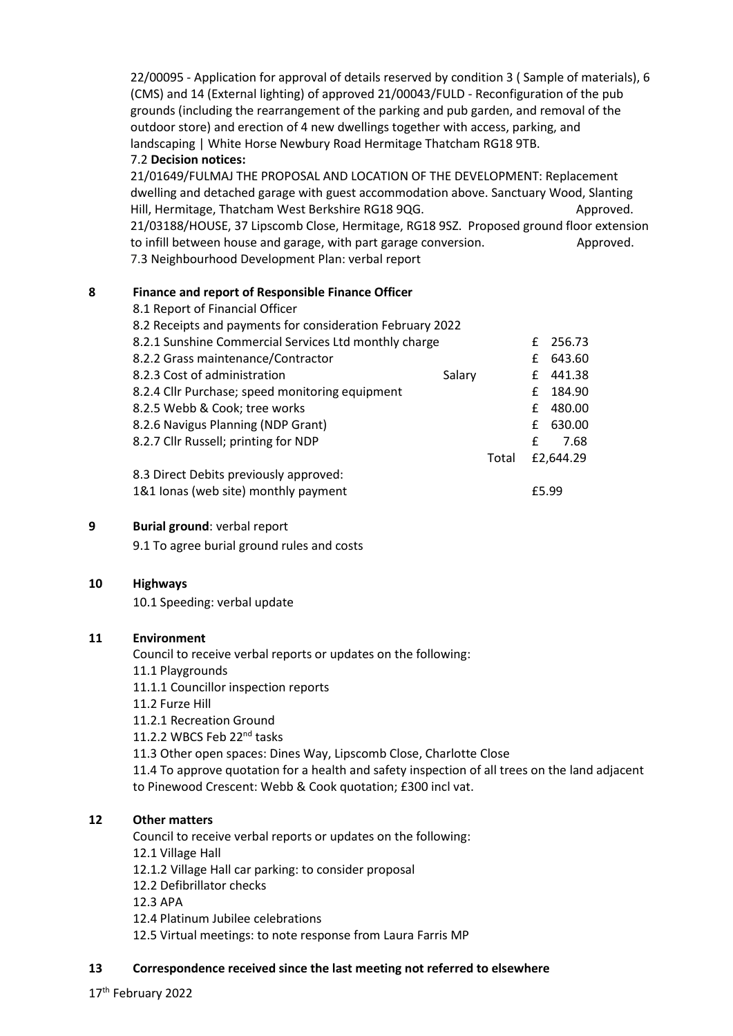22/00095 - Application for approval of details reserved by condition 3 ( Sample of materials), 6 (CMS) and 14 (External lighting) of approved 21/00043/FULD - Reconfiguration of the pub grounds (including the rearrangement of the parking and pub garden, and removal of the outdoor store) and erection of 4 new dwellings together with access, parking, and landscaping | White Horse Newbury Road Hermitage Thatcham RG18 9TB.

### 7.2 **Decision notices:**

21/01649/FULMAJ THE PROPOSAL AND LOCATION OF THE DEVELOPMENT: Replacement dwelling and detached garage with guest accommodation above. Sanctuary Wood, Slanting Hill, Hermitage, Thatcham West Berkshire RG18 9QG. Approved. 21/03188/HOUSE, 37 Lipscomb Close, Hermitage, RG18 9SZ. Proposed ground floor extension to infill between house and garage, with part garage conversion. Approved. 7.3 Neighbourhood Development Plan: verbal report

### **8 Finance and report of Responsible Finance Officer**

| 8.1 Report of Financial Officer                           |        |       |           |        |
|-----------------------------------------------------------|--------|-------|-----------|--------|
| 8.2 Receipts and payments for consideration February 2022 |        |       |           |        |
| 8.2.1 Sunshine Commercial Services Ltd monthly charge     |        |       | £         | 256.73 |
| 8.2.2 Grass maintenance/Contractor                        |        |       | £         | 643.60 |
| 8.2.3 Cost of administration                              | Salary |       | £         | 441.38 |
| 8.2.4 Cllr Purchase; speed monitoring equipment           |        |       | £         | 184.90 |
| 8.2.5 Webb & Cook; tree works                             |        |       | £         | 480.00 |
| 8.2.6 Navigus Planning (NDP Grant)                        |        |       | £         | 630.00 |
| 8.2.7 Cllr Russell; printing for NDP                      |        |       | £         | 7.68   |
|                                                           |        | Total | £2,644.29 |        |
| 8.3 Direct Debits previously approved:                    |        |       |           |        |
| 1&1 lonas (web site) monthly payment                      |        |       |           | £5.99  |

# **9 Burial ground**: verbal report

9.1 To agree burial ground rules and costs

### **10 Highways**

10.1 Speeding: verbal update

### **11 Environment**

Council to receive verbal reports or updates on the following: 11.1 Playgrounds 11.1.1 Councillor inspection reports 11.2 Furze Hill 11.2.1 Recreation Ground 11.2.2 WBCS Feb 22<sup>nd</sup> tasks 11.3 Other open spaces: Dines Way, Lipscomb Close, Charlotte Close 11.4 To approve quotation for a health and safety inspection of all trees on the land adjacent to Pinewood Crescent: Webb & Cook quotation; £300 incl vat.

# **12 Other matters**

Council to receive verbal reports or updates on the following: 12.1 Village Hall 12.1.2 Village Hall car parking: to consider proposal 12.2 Defibrillator checks 12.3 APA 12.4 Platinum Jubilee celebrations 12.5 Virtual meetings: to note response from Laura Farris MP

# **13 Correspondence received since the last meeting not referred to elsewhere**

17<sup>th</sup> February 2022